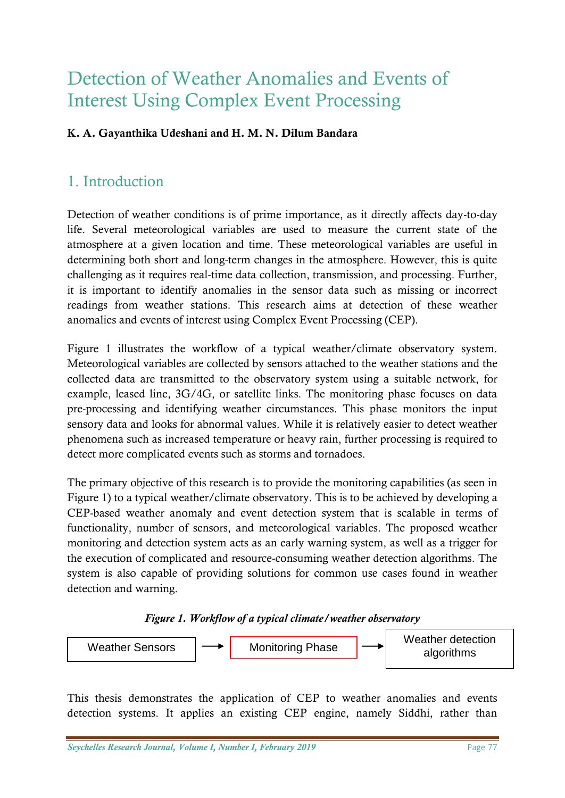# Detection of Weather Anomalies and Events of Interest Using Complex Event Processing

# **K. A. Gayanthika Udeshani and H. M. N. Dilum Bandara**

# 1. Introduction

Detection of weather conditions is of prime importance, as it directly affects day-to-day life. Several meteorological variables are used to measure the current state of the atmosphere at a given location and time. These meteorological variables are useful in determining both short and long-term changes in the atmosphere. However, this is quite challenging as it requires real-time data collection, transmission, and processing. Further, it is important to identify anomalies in the sensor data such as missing or incorrect readings from weather stations. This research aims at detection of these weather anomalies and events of interest using Complex Event Processing (CEP).

Figure 1 illustrates the workflow of a typical weather/climate observatory system. Meteorological variables are collected by sensors attached to the weather stations and the collected data are transmitted to the observatory system using a suitable network, for example, leased line, 3G/4G, or satellite links. The monitoring phase focuses on data pre-processing and identifying weather circumstances. This phase monitors the input sensory data and looks for abnormal values. While it is relatively easier to detect weather phenomena such as increased temperature or heavy rain, further processing is required to detect more complicated events such as storms and tornadoes.

The primary objective of this research is to provide the monitoring capabilities (as seen in Figure 1) to a typical weather/climate observatory. This is to be achieved by developing a CEP-based weather anomaly and event detection system that is scalable in terms of functionality, number of sensors, and meteorological variables. The proposed weather monitoring and detection system acts as an early warning system, as well as a trigger for the execution of complicated and resource-consuming weather detection algorithms. The system is also capable of providing solutions for common use cases found in weather detection and warning.





This thesis demonstrates the application of CEP to weather anomalies and events detection systems. It applies an existing CEP engine, namely Siddhi, rather than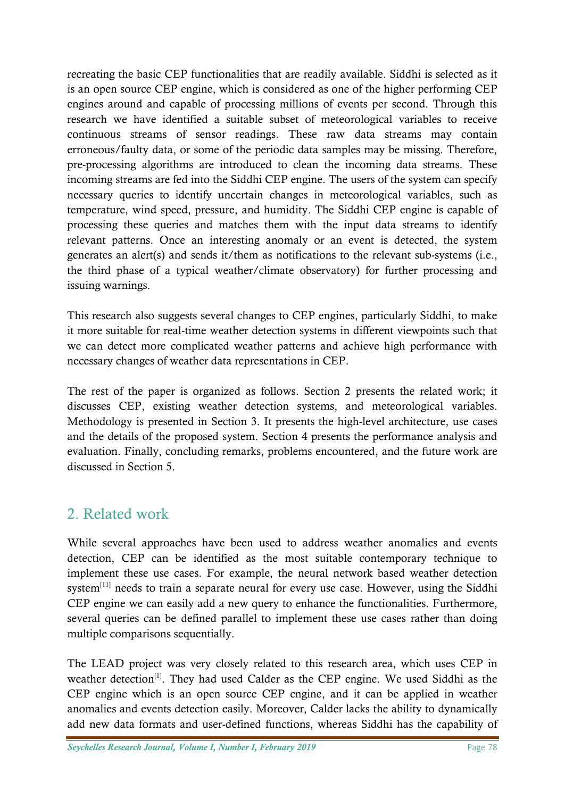recreating the basic CEP functionalities that are readily available. Siddhi is selected as it is an open source CEP engine, which is considered as one of the higher performing CEP engines around and capable of processing millions of events per second. Through this research we have identified a suitable subset of meteorological variables to receive continuous streams of sensor readings. These raw data streams may contain erroneous/faulty data, or some of the periodic data samples may be missing. Therefore, pre-processing algorithms are introduced to clean the incoming data streams. These incoming streams are fed into the Siddhi CEP engine. The users of the system can specify necessary queries to identify uncertain changes in meteorological variables, such as temperature, wind speed, pressure, and humidity. The Siddhi CEP engine is capable of processing these queries and matches them with the input data streams to identify relevant patterns. Once an interesting anomaly or an event is detected, the system generates an alert(s) and sends it/them as notifications to the relevant sub-systems (i.e., the third phase of a typical weather/climate observatory) for further processing and issuing warnings.

This research also suggests several changes to CEP engines, particularly Siddhi, to make it more suitable for real-time weather detection systems in different viewpoints such that we can detect more complicated weather patterns and achieve high performance with necessary changes of weather data representations in CEP.

The rest of the paper is organized as follows. Section 2 presents the related work; it discusses CEP, existing weather detection systems, and meteorological variables. Methodology is presented in Section 3. It presents the high-level architecture, use cases and the details of the proposed system. Section 4 presents the performance analysis and evaluation. Finally, concluding remarks, problems encountered, and the future work are discussed in Section 5.

# 2. Related work

While several approaches have been used to address weather anomalies and events detection, CEP can be identified as the most suitable contemporary technique to implement these use cases. For example, the neural network based weather detection system<sup>[11]</sup> needs to train a separate neural for every use case. However, using the Siddhi CEP engine we can easily add a new query to enhance the functionalities. Furthermore, several queries can be defined parallel to implement these use cases rather than doing multiple comparisons sequentially.

The LEAD project was very closely related to this research area, which uses CEP in weather detection<sup>[1]</sup>. They had used Calder as the CEP engine. We used Siddhi as the CEP engine which is an open source CEP engine, and it can be applied in weather anomalies and events detection easily. Moreover, Calder lacks the ability to dynamically add new data formats and user-defined functions, whereas Siddhi has the capability of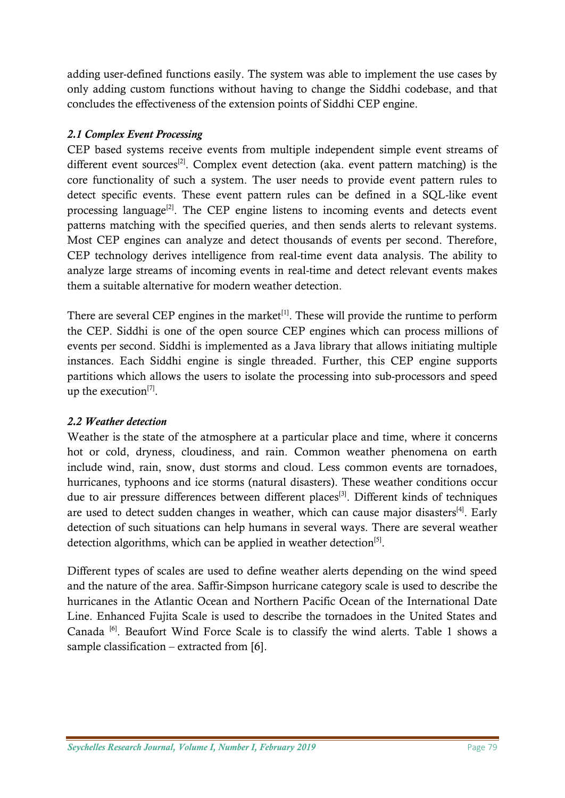adding user-defined functions easily. The system was able to implement the use cases by only adding custom functions without having to change the Siddhi codebase, and that concludes the effectiveness of the extension points of Siddhi CEP engine.

# *2.1 Complex Event Processing*

CEP based systems receive events from multiple independent simple event streams of different event sources<sup>[2]</sup>. Complex event detection (aka. event pattern matching) is the core functionality of such a system. The user needs to provide event pattern rules to detect specific events. These event pattern rules can be defined in a SQL-like event processing language<sup>[2]</sup>. The CEP engine listens to incoming events and detects event patterns matching with the specified queries, and then sends alerts to relevant systems. Most CEP engines can analyze and detect thousands of events per second. Therefore, CEP technology derives intelligence from real-time event data analysis. The ability to analyze large streams of incoming events in real-time and detect relevant events makes them a suitable alternative for modern weather detection.

There are several CEP engines in the market $[1]$ . These will provide the runtime to perform the CEP. Siddhi is one of the open source CEP engines which can process millions of events per second. Siddhi is implemented as a Java library that allows initiating multiple instances. Each Siddhi engine is single threaded. Further, this CEP engine supports partitions which allows the users to isolate the processing into sub-processors and speed up the execution<sup>[7]</sup>.

## *2.2 Weather detection*

Weather is the state of the atmosphere at a particular place and time, where it concerns hot or cold, dryness, cloudiness, and rain. Common weather phenomena on earth include wind, rain, snow, dust storms and cloud. Less common events are tornadoes, hurricanes, typhoons and ice storms (natural disasters). These weather conditions occur due to air pressure differences between different places<sup>[3]</sup>. Different kinds of techniques are used to detect sudden changes in weather, which can cause major disasters<sup>[4]</sup>. Early detection of such situations can help humans in several ways. There are several weather detection algorithms, which can be applied in weather detection<sup>[5]</sup>.

Different types of scales are used to define weather alerts depending on the wind speed and the nature of the area. Saffir-Simpson hurricane category scale is used to describe the hurricanes in the Atlantic Ocean and Northern Pacific Ocean of the International Date Line. Enhanced Fujita Scale is used to describe the tornadoes in the United States and Canada<sup>[6]</sup>. Beaufort Wind Force Scale is to classify the wind alerts. Table 1 shows a sample classification – extracted from [6].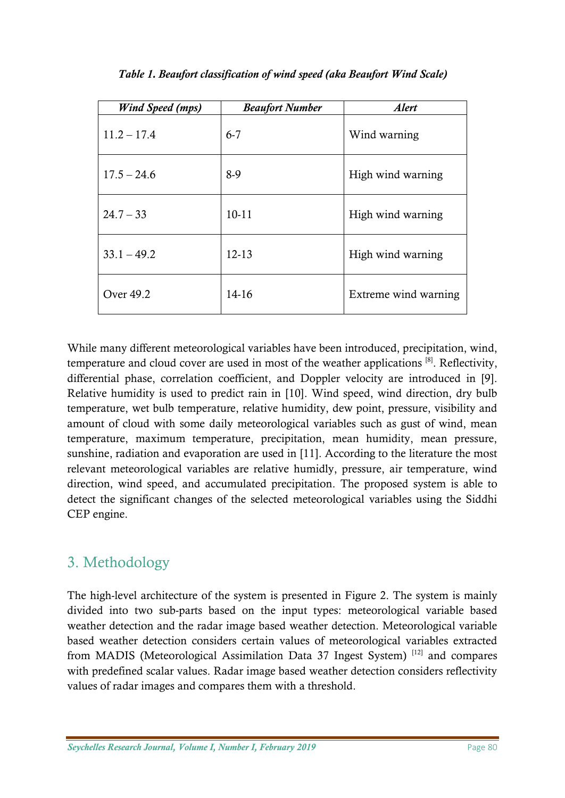| <b>Wind Speed (mps)</b> | <b>Beaufort Number</b> | <b>Alert</b>         |
|-------------------------|------------------------|----------------------|
| $11.2 - 17.4$           | $6 - 7$                | Wind warning         |
| $17.5 - 24.6$           | $8-9$                  | High wind warning    |
| $24.7 - 33$             | $10-11$                | High wind warning    |
| $33.1 - 49.2$           | $12 - 13$              | High wind warning    |
| Over 49.2               | $14-16$                | Extreme wind warning |

*Table 1. Beaufort classification of wind speed (aka Beaufort Wind Scale)*

While many different meteorological variables have been introduced, precipitation, wind, temperature and cloud cover are used in most of the weather applications [8]. Reflectivity, differential phase, correlation coefficient, and Doppler velocity are introduced in [9]. Relative humidity is used to predict rain in [10]. Wind speed, wind direction, dry bulb temperature, wet bulb temperature, relative humidity, dew point, pressure, visibility and amount of cloud with some daily meteorological variables such as gust of wind, mean temperature, maximum temperature, precipitation, mean humidity, mean pressure, sunshine, radiation and evaporation are used in [11]. According to the literature the most relevant meteorological variables are relative humidly, pressure, air temperature, wind direction, wind speed, and accumulated precipitation. The proposed system is able to detect the significant changes of the selected meteorological variables using the Siddhi CEP engine.

# 3. Methodology

The high-level architecture of the system is presented in Figure 2. The system is mainly divided into two sub-parts based on the input types: meteorological variable based weather detection and the radar image based weather detection. Meteorological variable based weather detection considers certain values of meteorological variables extracted from MADIS (Meteorological Assimilation Data 37 Ingest System)<sup>[12]</sup> and compares with predefined scalar values. Radar image based weather detection considers reflectivity values of radar images and compares them with a threshold.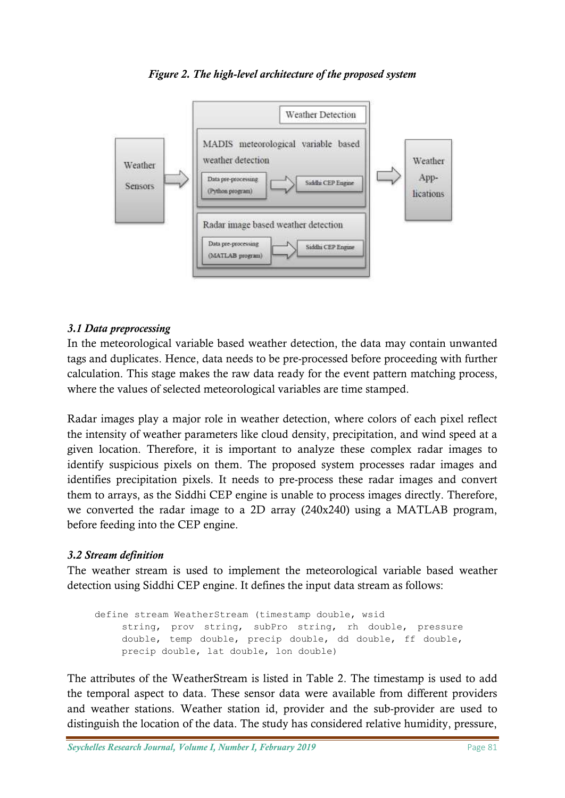### *Figure 2. The high-level architecture of the proposed system*



#### *3.1 Data preprocessing*

In the meteorological variable based weather detection, the data may contain unwanted tags and duplicates. Hence, data needs to be pre-processed before proceeding with further calculation. This stage makes the raw data ready for the event pattern matching process, where the values of selected meteorological variables are time stamped.

Radar images play a major role in weather detection, where colors of each pixel reflect the intensity of weather parameters like cloud density, precipitation, and wind speed at a given location. Therefore, it is important to analyze these complex radar images to identify suspicious pixels on them. The proposed system processes radar images and identifies precipitation pixels. It needs to pre-process these radar images and convert them to arrays, as the Siddhi CEP engine is unable to process images directly. Therefore, we converted the radar image to a 2D array (240x240) using a MATLAB program, before feeding into the CEP engine.

#### *3.2 Stream definition*

The weather stream is used to implement the meteorological variable based weather detection using Siddhi CEP engine. It defines the input data stream as follows:

define stream WeatherStream (timestamp double, wsid string, prov string, subPro string, rh double, pressure double, temp double, precip double, dd double, ff double, precip double, lat double, lon double)

The attributes of the WeatherStream is listed in Table 2. The timestamp is used to add the temporal aspect to data. These sensor data were available from different providers and weather stations. Weather station id, provider and the sub-provider are used to distinguish the location of the data. The study has considered relative humidity, pressure,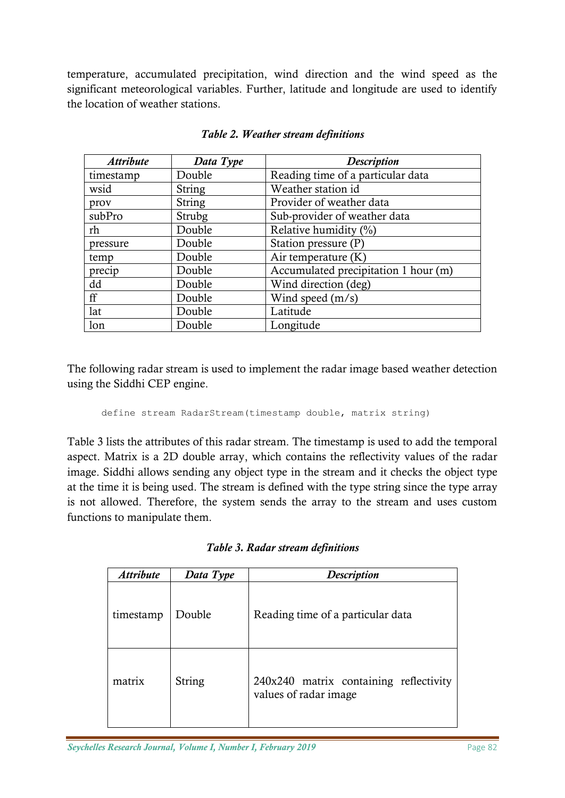temperature, accumulated precipitation, wind direction and the wind speed as the significant meteorological variables. Further, latitude and longitude are used to identify the location of weather stations.

| <b>Attribute</b> | Data Type     | <b>Description</b>                   |
|------------------|---------------|--------------------------------------|
| timestamp        | Double        | Reading time of a particular data    |
| wsid             | <b>String</b> | Weather station id                   |
| prov             | <b>String</b> | Provider of weather data             |
| subPro           | Strubg        | Sub-provider of weather data         |
| rh               | Double        | Relative humidity $(\%)$             |
| pressure         | Double        | Station pressure (P)                 |
| temp             | Double        | Air temperature $(K)$                |
| precip           | Double        | Accumulated precipitation 1 hour (m) |
| dd               | Double        | Wind direction (deg)                 |
| ff               | Double        | Wind speed (m/s)                     |
| lat              | Double        | Latitude                             |
| lon              | Double        | Longitude                            |

#### *Table 2. Weather stream definitions*

The following radar stream is used to implement the radar image based weather detection using the Siddhi CEP engine.

```
define stream RadarStream(timestamp double, matrix string)
```
Table 3 lists the attributes of this radar stream. The timestamp is used to add the temporal aspect. Matrix is a 2D double array, which contains the reflectivity values of the radar image. Siddhi allows sending any object type in the stream and it checks the object type at the time it is being used. The stream is defined with the type string since the type array is not allowed. Therefore, the system sends the array to the stream and uses custom functions to manipulate them.

|  |  |  | Table 3. Radar stream definitions |
|--|--|--|-----------------------------------|
|--|--|--|-----------------------------------|

| <b>Attribute</b> | Data Type | <b>Description</b>                                              |
|------------------|-----------|-----------------------------------------------------------------|
| timestamp        | Double    | Reading time of a particular data                               |
| matrix           | String    | 240x240 matrix containing reflectivity<br>values of radar image |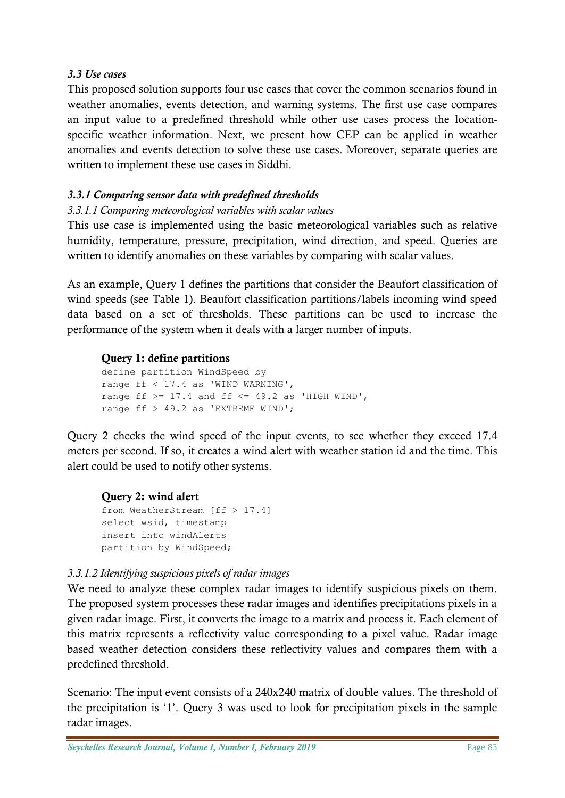#### *3.3 Use cases*

This proposed solution supports four use cases that cover the common scenarios found in weather anomalies, events detection, and warning systems. The first use case compares an input value to a predefined threshold while other use cases process the locationspecific weather information. Next, we present how CEP can be applied in weather anomalies and events detection to solve these use cases. Moreover, separate queries are written to implement these use cases in Siddhi.

# *3.3.1 Comparing sensor data with predefined thresholds*

## *3.3.1.1 Comparing meteorological variables with scalar values*

This use case is implemented using the basic meteorological variables such as relative humidity, temperature, pressure, precipitation, wind direction, and speed. Queries are written to identify anomalies on these variables by comparing with scalar values.

As an example, Query 1 defines the partitions that consider the Beaufort classification of wind speeds (see Table 1). Beaufort classification partitions/labels incoming wind speed data based on a set of thresholds. These partitions can be used to increase the performance of the system when it deals with a larger number of inputs.

# **Query 1: define partitions**

```
define partition WindSpeed by 
range ff < 17.4 as 'WIND WARNING',
range ff >= 17.4 and ff <= 49.2 as 'HIGH WIND',
range ff > 49.2 as 'EXTREME WIND';
```
Query 2 checks the wind speed of the input events, to see whether they exceed 17.4 meters per second. If so, it creates a wind alert with weather station id and the time. This alert could be used to notify other systems.

## **Query 2: wind alert**

from WeatherStream [ff > 17.4] select wsid, timestamp insert into windAlerts partition by WindSpeed;

## *3.3.1.2 Identifying suspicious pixels of radar images*

We need to analyze these complex radar images to identify suspicious pixels on them. The proposed system processes these radar images and identifies precipitations pixels in a given radar image. First, it converts the image to a matrix and process it. Each element of this matrix represents a reflectivity value corresponding to a pixel value. Radar image based weather detection considers these reflectivity values and compares them with a predefined threshold.

Scenario: The input event consists of a 240x240 matrix of double values. The threshold of the precipitation is '1'. Query 3 was used to look for precipitation pixels in the sample radar images.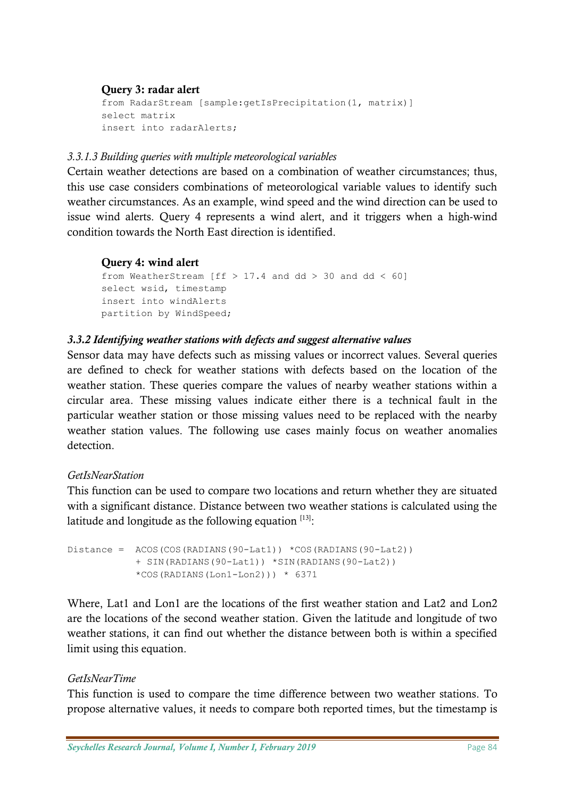#### **Query 3: radar alert**

```
from RadarStream [sample: getIsPrecipitation(1, matrix)]
select matrix 
insert into radarAlerts;
```
#### *3.3.1.3 Building queries with multiple meteorological variables*

Certain weather detections are based on a combination of weather circumstances; thus, this use case considers combinations of meteorological variable values to identify such weather circumstances. As an example, wind speed and the wind direction can be used to issue wind alerts. Query 4 represents a wind alert, and it triggers when a high-wind condition towards the North East direction is identified.

#### **Query 4: wind alert**

```
from WeatherStream [ff > 17.4 and dd > 30 and dd < 60]
select wsid, timestamp 
insert into windAlerts 
partition by WindSpeed;
```
#### *3.3.2 Identifying weather stations with defects and suggest alternative values*

Sensor data may have defects such as missing values or incorrect values. Several queries are defined to check for weather stations with defects based on the location of the weather station. These queries compare the values of nearby weather stations within a circular area. These missing values indicate either there is a technical fault in the particular weather station or those missing values need to be replaced with the nearby weather station values. The following use cases mainly focus on weather anomalies detection.

#### *GetIsNearStation*

This function can be used to compare two locations and return whether they are situated with a significant distance. Distance between two weather stations is calculated using the latitude and longitude as the following equation  $^{[13]}.$ 

```
Distance = ACOS(COS(RADIANS(90-Lat1)) *COS(RADIANS(90-Lat2)) 
            + SIN(RADIANS(90-Lat1)) *SIN(RADIANS(90-Lat2)) 
            *COS(RADIANS(Lon1-Lon2))) * 6371
```
Where, Lat1 and Lon1 are the locations of the first weather station and Lat2 and Lon2 are the locations of the second weather station. Given the latitude and longitude of two weather stations, it can find out whether the distance between both is within a specified limit using this equation.

## *GetIsNearTime*

This function is used to compare the time difference between two weather stations. To propose alternative values, it needs to compare both reported times, but the timestamp is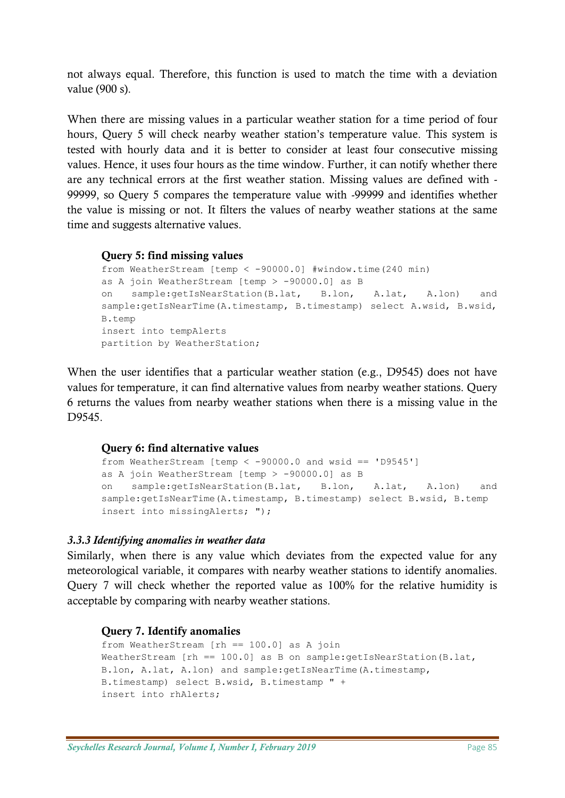not always equal. Therefore, this function is used to match the time with a deviation value (900 s).

When there are missing values in a particular weather station for a time period of four hours, Query 5 will check nearby weather station's temperature value. This system is tested with hourly data and it is better to consider at least four consecutive missing values. Hence, it uses four hours as the time window. Further, it can notify whether there are any technical errors at the first weather station. Missing values are defined with - 99999, so Query 5 compares the temperature value with -99999 and identifies whether the value is missing or not. It filters the values of nearby weather stations at the same time and suggests alternative values.

#### **Query 5: find missing values**

```
from WeatherStream [temp < -90000.0] #window.time(240 min) 
as A join WeatherStream [temp > -90000.0] as B 
on sample:getIsNearStation(B.lat, B.lon, A.lat, A.lon) and 
sample:getIsNearTime(A.timestamp, B.timestamp) select A.wsid, B.wsid, 
B.temp 
insert into tempAlerts 
partition by WeatherStation;
```
When the user identifies that a particular weather station (e.g., D9545) does not have values for temperature, it can find alternative values from nearby weather stations. Query 6 returns the values from nearby weather stations when there is a missing value in the D9545.

#### **Query 6: find alternative values**

```
from WeatherStream [temp < -90000.0 and wsid == 'D9545']
as A join WeatherStream [temp > -90000.0] as B 
on sample:getIsNearStation(B.lat, B.lon, A.lat, A.lon) and 
sample:getIsNearTime(A.timestamp, B.timestamp) select B.wsid, B.temp 
insert into missingAlerts; ");
```
## *3.3.3 Identifying anomalies in weather data*

Similarly, when there is any value which deviates from the expected value for any meteorological variable, it compares with nearby weather stations to identify anomalies. Query 7 will check whether the reported value as 100% for the relative humidity is acceptable by comparing with nearby weather stations.

#### **Query 7. Identify anomalies**

```
from WeatherStream [rh == 100.0] as A join 
WeatherStream [rh == 100.0] as B on sample:getIsNearStation(B.lat,
B.lon, A.lat, A.lon) and sample:getIsNearTime(A.timestamp, 
B.timestamp) select B.wsid, B.timestamp " + 
insert into rhAlerts;
```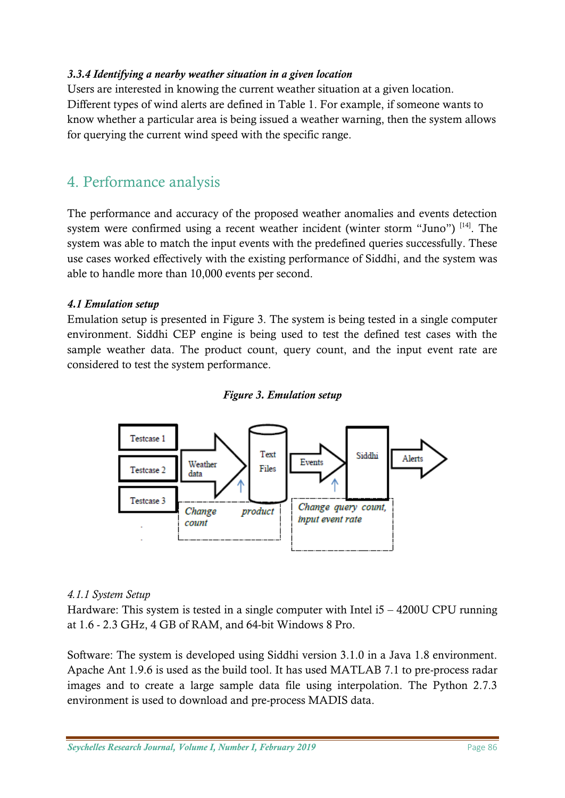#### *3.3.4 Identifying a nearby weather situation in a given location*

Users are interested in knowing the current weather situation at a given location. Different types of wind alerts are defined in Table 1. For example, if someone wants to know whether a particular area is being issued a weather warning, then the system allows for querying the current wind speed with the specific range.

# 4. Performance analysis

The performance and accuracy of the proposed weather anomalies and events detection system were confirmed using a recent weather incident (winter storm "Juno") <sup>[14]</sup>. The system was able to match the input events with the predefined queries successfully. These use cases worked effectively with the existing performance of Siddhi, and the system was able to handle more than 10,000 events per second.

#### *4.1 Emulation setup*

Emulation setup is presented in Figure 3. The system is being tested in a single computer environment. Siddhi CEP engine is being used to test the defined test cases with the sample weather data. The product count, query count, and the input event rate are considered to test the system performance.



#### *Figure 3. Emulation setup*

#### *4.1.1 System Setup*

Hardware: This system is tested in a single computer with Intel i5 – 4200U CPU running at 1.6 - 2.3 GHz, 4 GB of RAM, and 64-bit Windows 8 Pro.

Software: The system is developed using Siddhi version 3.1.0 in a Java 1.8 environment. Apache Ant 1.9.6 is used as the build tool. It has used MATLAB 7.1 to pre-process radar images and to create a large sample data file using interpolation. The Python 2.7.3 environment is used to download and pre-process MADIS data.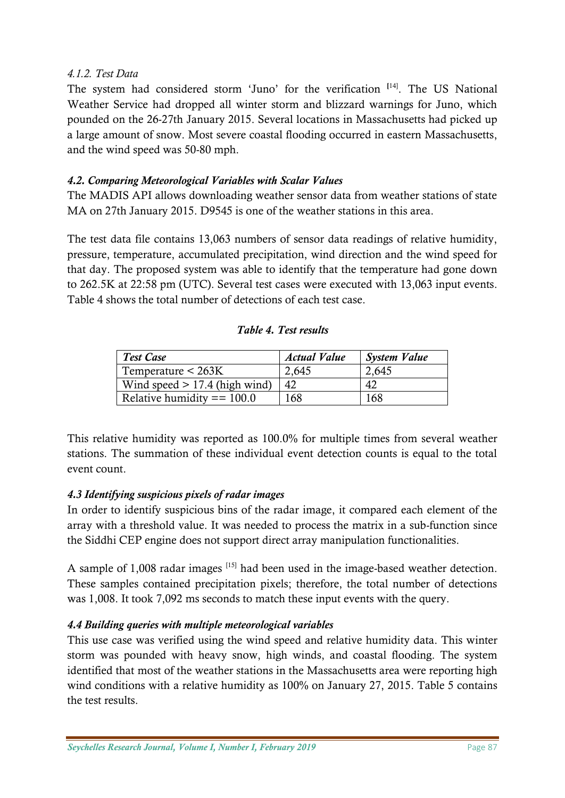## *4.1.2. Test Data*

The system had considered storm 'Juno' for the verification **[**14] . The US National Weather Service had dropped all winter storm and blizzard warnings for Juno, which pounded on the 26-27th January 2015. Several locations in Massachusetts had picked up a large amount of snow. Most severe coastal flooding occurred in eastern Massachusetts, and the wind speed was 50-80 mph.

# *4.2. Comparing Meteorological Variables with Scalar Values*

The MADIS API allows downloading weather sensor data from weather stations of state MA on 27th January 2015. D9545 is one of the weather stations in this area.

The test data file contains 13,063 numbers of sensor data readings of relative humidity, pressure, temperature, accumulated precipitation, wind direction and the wind speed for that day. The proposed system was able to identify that the temperature had gone down to 262.5K at 22:58 pm (UTC). Several test cases were executed with 13,063 input events. Table 4 shows the total number of detections of each test case.

# *Table 4. Test results*

| <b>Test Case</b>                | <b>Actual Value</b> | System Value |
|---------------------------------|---------------------|--------------|
| Temperature $< 263K$            | 2,645               | 2,645        |
| Wind speed $> 17.4$ (high wind) | -42                 | 42           |
| Relative humidity $== 100.0$    | 168                 | 168          |

This relative humidity was reported as 100.0% for multiple times from several weather stations. The summation of these individual event detection counts is equal to the total event count.

# *4.3 Identifying suspicious pixels of radar images*

In order to identify suspicious bins of the radar image, it compared each element of the array with a threshold value. It was needed to process the matrix in a sub-function since the Siddhi CEP engine does not support direct array manipulation functionalities.

A sample of 1,008 radar images <sup>[15]</sup> had been used in the image-based weather detection. These samples contained precipitation pixels; therefore, the total number of detections was 1,008. It took 7,092 ms seconds to match these input events with the query.

## *4.4 Building queries with multiple meteorological variables*

This use case was verified using the wind speed and relative humidity data. This winter storm was pounded with heavy snow, high winds, and coastal flooding. The system identified that most of the weather stations in the Massachusetts area were reporting high wind conditions with a relative humidity as 100% on January 27, 2015. Table 5 contains the test results.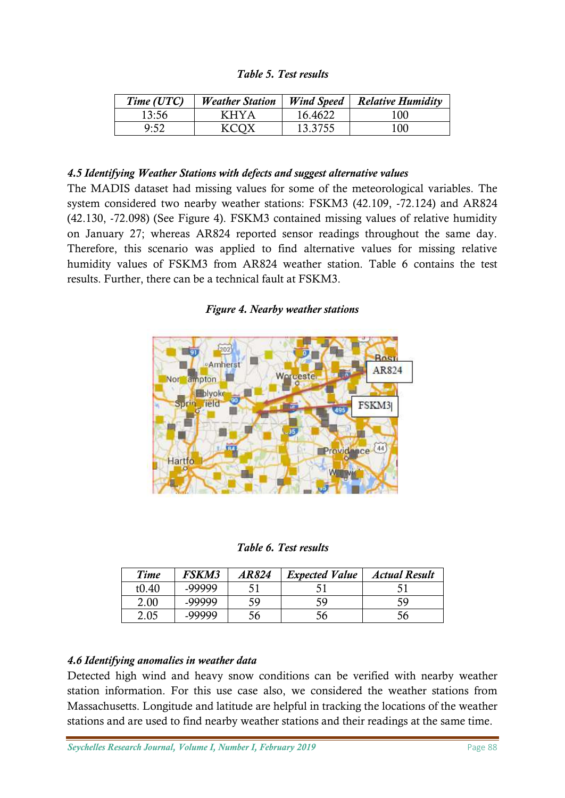#### *Table 5. Test results*

| Time (UTC) | <b>Weather Station</b> | <b>Wind Speed</b> | <b>Relative Humidity</b> |
|------------|------------------------|-------------------|--------------------------|
| 13:56      | <b>KHYA</b>            | 16.4622           | 100                      |
| 9:52       | KCOX                   | 13.3755           | 100                      |

#### *4.5 Identifying Weather Stations with defects and suggest alternative values*

The MADIS dataset had missing values for some of the meteorological variables. The system considered two nearby weather stations: FSKM3 (42.109, -72.124) and AR824 (42.130, -72.098) (See Figure 4). FSKM3 contained missing values of relative humidity on January 27; whereas AR824 reported sensor readings throughout the same day. Therefore, this scenario was applied to find alternative values for missing relative humidity values of FSKM3 from AR824 weather station. Table 6 contains the test results. Further, there can be a technical fault at FSKM3.

#### *Figure 4. Nearby weather stations*



*Table 6. Test results*

| <b>Time</b> | FSKM3  | <i>AR824</i> | <b>Expected Value</b> | <b>Actual Result</b> |
|-------------|--------|--------------|-----------------------|----------------------|
| t0.40       | -99999 |              |                       |                      |
| 2.00        | -99999 | 59           | 59                    | ۲q                   |
| 2.05        | -99999 | არ           | эb                    | ჂႩ                   |

#### *4.6 Identifying anomalies in weather data*

Detected high wind and heavy snow conditions can be verified with nearby weather station information. For this use case also, we considered the weather stations from Massachusetts. Longitude and latitude are helpful in tracking the locations of the weather stations and are used to find nearby weather stations and their readings at the same time.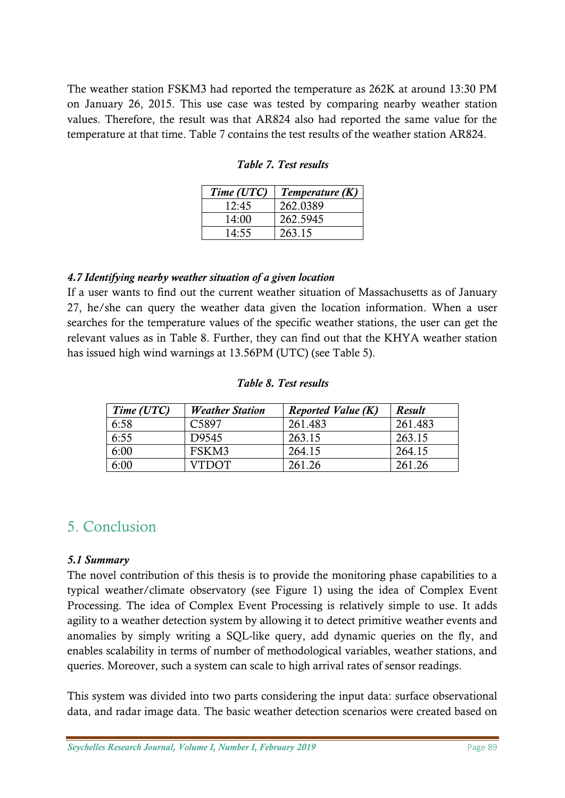The weather station FSKM3 had reported the temperature as 262K at around 13:30 PM on January 26, 2015. This use case was tested by comparing nearby weather station values. Therefore, the result was that AR824 also had reported the same value for the temperature at that time. Table 7 contains the test results of the weather station AR824.

| Time (UTC) | Temperature (K) |
|------------|-----------------|
| 12:45      | 262.0389        |
| 14:00      | 262.5945        |
| 14:55      | 263.15          |

*Table 7. Test results*

#### *4.7 Identifying nearby weather situation of a given location*

If a user wants to find out the current weather situation of Massachusetts as of January 27, he/she can query the weather data given the location information. When a user searches for the temperature values of the specific weather stations, the user can get the relevant values as in Table 8. Further, they can find out that the KHYA weather station has issued high wind warnings at 13.56PM (UTC) (see Table 5).

| Table 8. Test results |  |  |
|-----------------------|--|--|
|-----------------------|--|--|

| Time (UTC) | <b>Weather Station</b> | <b>Reported Value (K)</b> | Result  |
|------------|------------------------|---------------------------|---------|
| 6:58       | C <sub>5897</sub>      | 261.483                   | 261.483 |
| 6:55       | D9545                  | 263.15                    | 263.15  |
| 6:00       | FSKM3                  | 264.15                    | 264.15  |
| 6:00       | <b>VTDOT</b>           | 261.26                    | 261.26  |

# 5. Conclusion

#### *5.1 Summary*

The novel contribution of this thesis is to provide the monitoring phase capabilities to a typical weather/climate observatory (see Figure 1) using the idea of Complex Event Processing. The idea of Complex Event Processing is relatively simple to use. It adds agility to a weather detection system by allowing it to detect primitive weather events and anomalies by simply writing a SQL-like query, add dynamic queries on the fly, and enables scalability in terms of number of methodological variables, weather stations, and queries. Moreover, such a system can scale to high arrival rates of sensor readings.

This system was divided into two parts considering the input data: surface observational data, and radar image data. The basic weather detection scenarios were created based on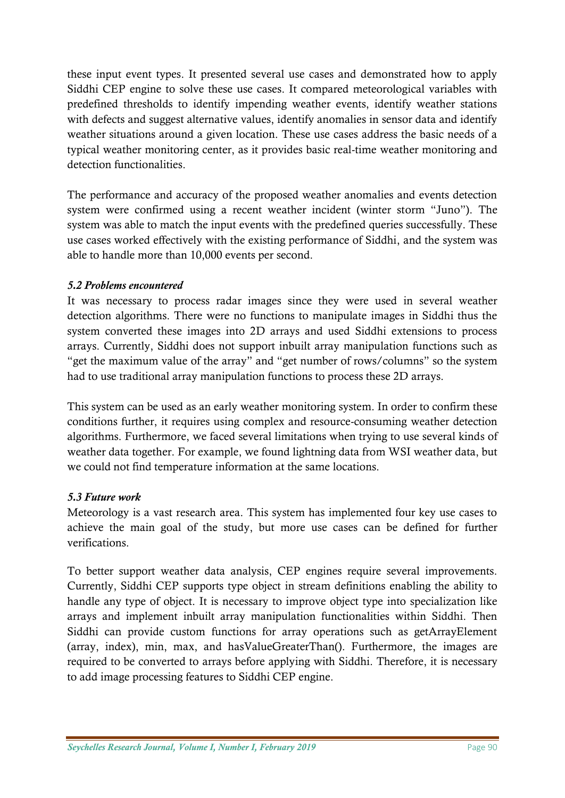these input event types. It presented several use cases and demonstrated how to apply Siddhi CEP engine to solve these use cases. It compared meteorological variables with predefined thresholds to identify impending weather events, identify weather stations with defects and suggest alternative values, identify anomalies in sensor data and identify weather situations around a given location. These use cases address the basic needs of a typical weather monitoring center, as it provides basic real-time weather monitoring and detection functionalities.

The performance and accuracy of the proposed weather anomalies and events detection system were confirmed using a recent weather incident (winter storm "Juno"). The system was able to match the input events with the predefined queries successfully. These use cases worked effectively with the existing performance of Siddhi, and the system was able to handle more than 10,000 events per second.

## *5.2 Problems encountered*

It was necessary to process radar images since they were used in several weather detection algorithms. There were no functions to manipulate images in Siddhi thus the system converted these images into 2D arrays and used Siddhi extensions to process arrays. Currently, Siddhi does not support inbuilt array manipulation functions such as "get the maximum value of the array" and "get number of rows/columns" so the system had to use traditional array manipulation functions to process these 2D arrays.

This system can be used as an early weather monitoring system. In order to confirm these conditions further, it requires using complex and resource-consuming weather detection algorithms. Furthermore, we faced several limitations when trying to use several kinds of weather data together. For example, we found lightning data from WSI weather data, but we could not find temperature information at the same locations.

## *5.3 Future work*

Meteorology is a vast research area. This system has implemented four key use cases to achieve the main goal of the study, but more use cases can be defined for further verifications.

To better support weather data analysis, CEP engines require several improvements. Currently, Siddhi CEP supports type object in stream definitions enabling the ability to handle any type of object. It is necessary to improve object type into specialization like arrays and implement inbuilt array manipulation functionalities within Siddhi. Then Siddhi can provide custom functions for array operations such as getArrayElement (array, index), min, max, and hasValueGreaterThan(). Furthermore, the images are required to be converted to arrays before applying with Siddhi. Therefore, it is necessary to add image processing features to Siddhi CEP engine.